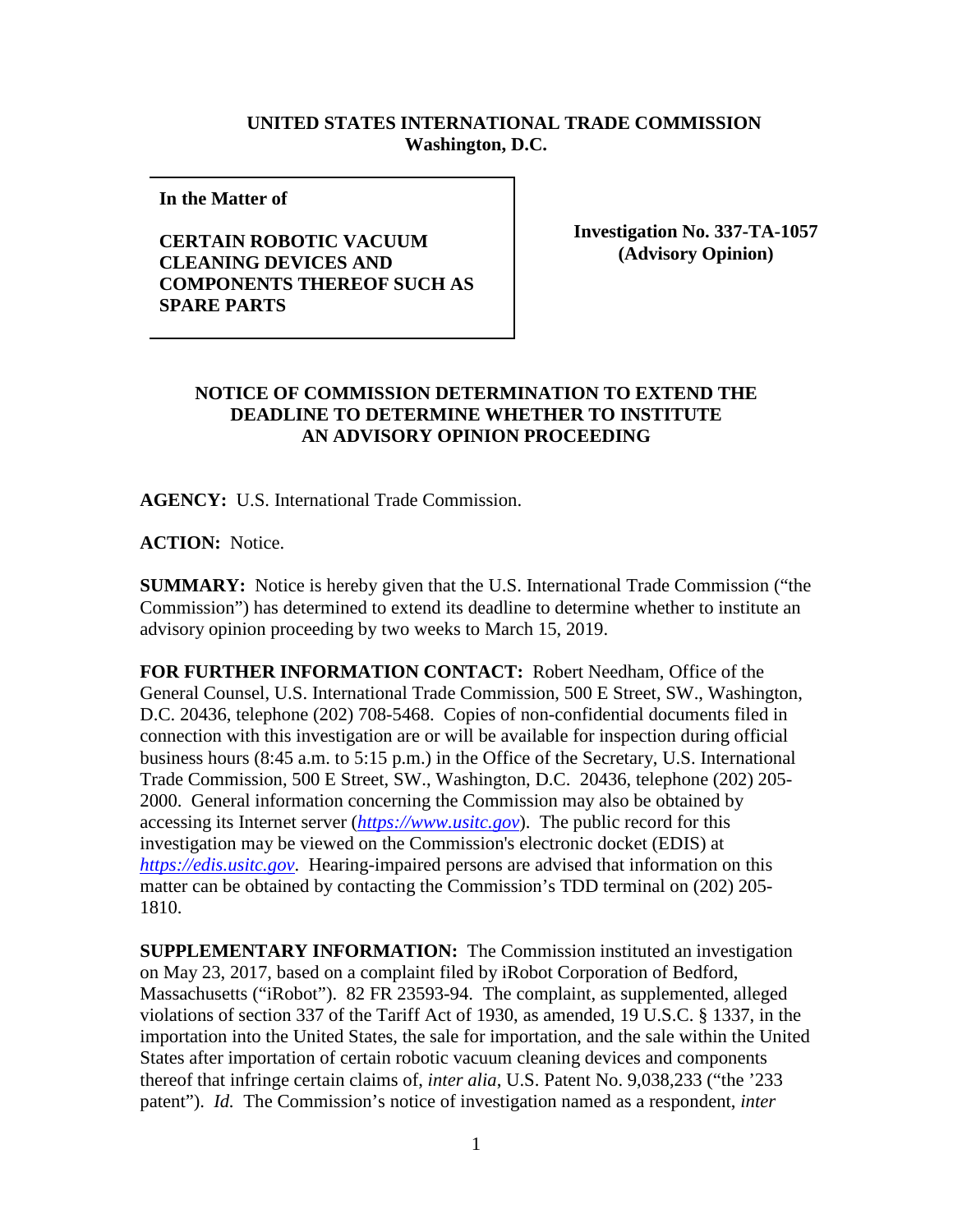## **UNITED STATES INTERNATIONAL TRADE COMMISSION Washington, D.C.**

**In the Matter of** 

**CERTAIN ROBOTIC VACUUM CLEANING DEVICES AND COMPONENTS THEREOF SUCH AS SPARE PARTS**

**Investigation No. 337-TA-1057 (Advisory Opinion)**

## **NOTICE OF COMMISSION DETERMINATION TO EXTEND THE DEADLINE TO DETERMINE WHETHER TO INSTITUTE AN ADVISORY OPINION PROCEEDING**

**AGENCY:** U.S. International Trade Commission.

**ACTION:** Notice.

**SUMMARY:** Notice is hereby given that the U.S. International Trade Commission ("the Commission") has determined to extend its deadline to determine whether to institute an advisory opinion proceeding by two weeks to March 15, 2019.

**FOR FURTHER INFORMATION CONTACT:** Robert Needham, Office of the General Counsel, U.S. International Trade Commission, 500 E Street, SW., Washington, D.C. 20436, telephone (202) 708-5468. Copies of non-confidential documents filed in connection with this investigation are or will be available for inspection during official business hours (8:45 a.m. to 5:15 p.m.) in the Office of the Secretary, U.S. International Trade Commission, 500 E Street, SW., Washington, D.C. 20436, telephone (202) 205- 2000. General information concerning the Commission may also be obtained by accessing its Internet server (*[https://www.usitc.gov](https://www.usitc.gov/)*). The public record for this investigation may be viewed on the Commission's electronic docket (EDIS) at *[https://edis.usitc.gov](https://edis.usitc.gov/)*. Hearing-impaired persons are advised that information on this matter can be obtained by contacting the Commission's TDD terminal on (202) 205- 1810.

**SUPPLEMENTARY INFORMATION:** The Commission instituted an investigation on May 23, 2017, based on a complaint filed by iRobot Corporation of Bedford, Massachusetts ("iRobot"). 82 FR 23593-94. The complaint, as supplemented, alleged violations of section 337 of the Tariff Act of 1930, as amended, 19 U.S.C. § 1337, in the importation into the United States, the sale for importation, and the sale within the United States after importation of certain robotic vacuum cleaning devices and components thereof that infringe certain claims of, *inter alia*, U.S. Patent No. 9,038,233 ("the '233 patent"). *Id.* The Commission's notice of investigation named as a respondent, *inter*